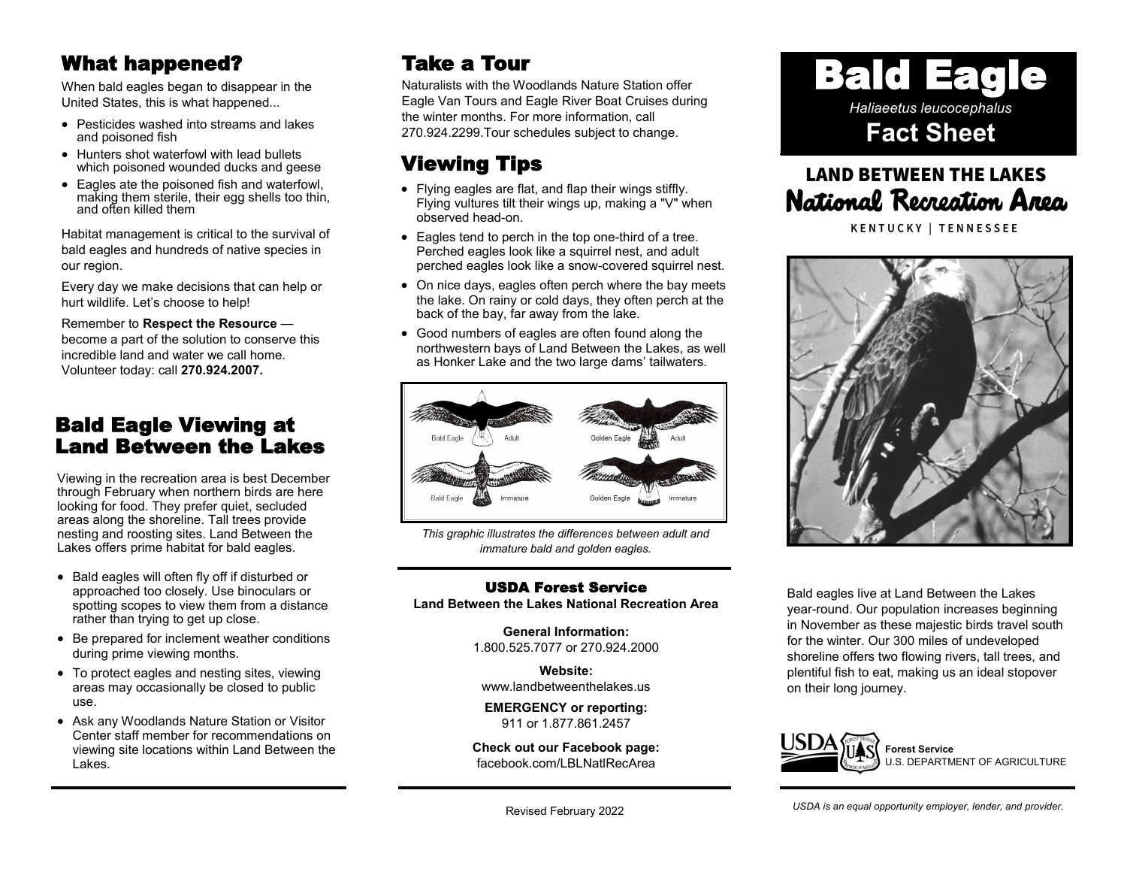### What happened?

When bald eagles began to disappear in the United States, this is what happened...

- Pesticides washed into streams and lakes and poisoned fish
- Hunters shot waterfowl with lead bullets which poisoned wounded ducks and geese
- Eagles ate the poisoned fish and waterfowl, making them sterile, their egg shells too thin, and often killed them

Habitat management is critical to the survival of bald eagles and hundreds of native species in our region.

Every day we make decisions that can help or hurt wildlife. Let's choose to help!

Remember to **Respect the Resource** become a part of the solution to conserve this incredible land and water we call home. Volunteer today: call **270.924.2007.**

### Bald Eagle Viewing at Land Between the Lakes

Viewing in the recreation area is best December through February when northern birds are here looking for food. They prefer quiet, secluded areas along the shoreline. Tall trees provide nesting and roosting sites. Land Between the Lakes offers prime habitat for bald eagles.

- Bald eagles will often fly off if disturbed or approached too closely. Use binoculars or spotting scopes to view them from a distance rather than trying to get up close.
- Be prepared for inclement weather conditions during prime viewing months.
- To protect eagles and nesting sites, viewing areas may occasionally be closed to public use.
- Ask any Woodlands Nature Station or Visitor Center staff member for recommendations on viewing site locations within Land Between the Lakes.

## Take a Tour

Naturalists with the Woodlands Nature Station offer Eagle Van Tours and Eagle River Boat Cruises during the winter months. For more information, call 270.924.2299.Tour schedules subject to change.

# Viewing Tips

- Flying eagles are flat, and flap their wings stiffly. Flying vultures tilt their wings up, making a "V" when observed head-on.
- Eagles tend to perch in the top one-third of a tree. Perched eagles look like a squirrel nest, and adult perched eagles look like a snow-covered squirrel nest.
- On nice days, eagles often perch where the bay meets the lake. On rainy or cold days, they often perch at the back of the bay, far away from the lake.
- Good numbers of eagles are often found along the northwestern bays of Land Between the Lakes, as well as Honker Lake and the two large dams' tailwaters.



*This graphic illustrates the differences between adult and immature bald and golden eagles.*

#### USDA Forest Service **Land Between the Lakes National Recreation Area**

**General Information:** 1.800.525.7077 or 270.924.2000

**Website:** [www.landbetweenthelakes.us](http://www.landbetweenthelakes.us)

**EMERGENCY or reporting:**  911 or 1.877.861.2457

**Check out our Facebook page:** f[acebook.com/LBLNatlRecArea](http://www.facebook.com/FriendsofLandBetweenTheLakes)



# **LAND BETWEEN THE LAKES** National Recreation Area

**KENTUCKY | TENNESSEE** 



Bald eagles live at Land Between the Lakes year-round. Our population increases beginning in November as these majestic birds travel south for the winter. Our 300 miles of undeveloped shoreline offers two flowing rivers, tall trees, and plentiful fish to eat, making us an ideal stopover on their long journey.